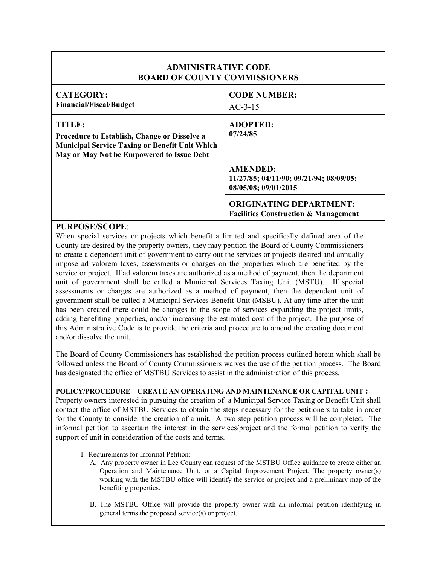| <b>ADMINISTRATIVE CODE</b><br><b>BOARD OF COUNTY COMMISSIONERS</b>                                                                                                         |                                                                                    |
|----------------------------------------------------------------------------------------------------------------------------------------------------------------------------|------------------------------------------------------------------------------------|
| <b>CATEGORY:</b><br><b>Financial/Fiscal/Budget</b>                                                                                                                         | <b>CODE NUMBER:</b><br>$AC-3-15$                                                   |
| <b>TITLE:</b><br><b>Procedure to Establish, Change or Dissolve a</b><br><b>Municipal Service Taxing or Benefit Unit Which</b><br>May or May Not be Empowered to Issue Debt | <b>ADOPTED:</b><br>07/24/85                                                        |
|                                                                                                                                                                            | <b>AMENDED:</b><br>11/27/85; 04/11/90; 09/21/94; 08/09/05;<br>08/05/08; 09/01/2015 |
|                                                                                                                                                                            | <b>ORIGINATING DEPARTMENT:</b><br><b>Facilities Construction &amp; Management</b>  |

## **PURPOSE/SCOPE**:

When special services or projects which benefit a limited and specifically defined area of the County are desired by the property owners, they may petition the Board of County Commissioners to create a dependent unit of government to carry out the services or projects desired and annually impose ad valorem taxes, assessments or charges on the properties which are benefited by the service or project. If ad valorem taxes are authorized as a method of payment, then the department unit of government shall be called a Municipal Services Taxing Unit (MSTU). If special assessments or charges are authorized as a method of payment, then the dependent unit of government shall be called a Municipal Services Benefit Unit (MSBU). At any time after the unit has been created there could be changes to the scope of services expanding the project limits, adding benefiting properties, and/or increasing the estimated cost of the project. The purpose of this Administrative Code is to provide the criteria and procedure to amend the creating document and/or dissolve the unit.

The Board of County Commissioners has established the petition process outlined herein which shall be followed unless the Board of County Commissioners waives the use of the petition process. The Board has designated the office of MSTBU Services to assist in the administration of this process.

## **POLICY/PROCEDURE – CREATE AN OPERATING AND MAINTENANCE OR CAPITAL UNIT :**

Property owners interested in pursuing the creation of a Municipal Service Taxing or Benefit Unit shall contact the office of MSTBU Services to obtain the steps necessary for the petitioners to take in order for the County to consider the creation of a unit. A two step petition process will be completed. The informal petition to ascertain the interest in the services/project and the formal petition to verify the support of unit in consideration of the costs and terms.

- I. Requirements for Informal Petition:
	- A. Any property owner in Lee County can request of the MSTBU Office guidance to create either an Operation and Maintenance Unit, or a Capital Improvement Project. The property owner(s) working with the MSTBU office will identify the service or project and a preliminary map of the benefiting properties.
	- B. The MSTBU Office will provide the property owner with an informal petition identifying in general terms the proposed service(s) or project.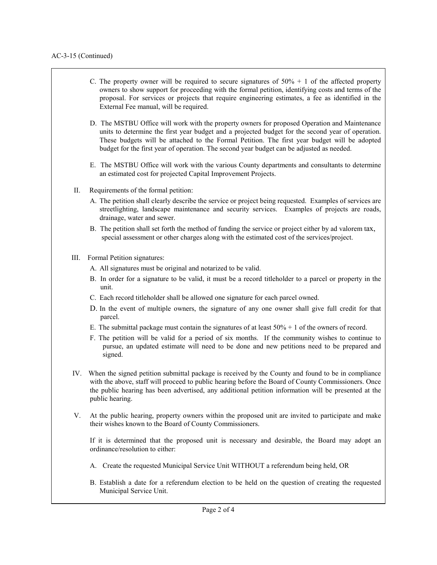- C. The property owner will be required to secure signatures of  $50\% + 1$  of the affected property owners to show support for proceeding with the formal petition, identifying costs and terms of the proposal. For services or projects that require engineering estimates, a fee as identified in the External Fee manual, will be required.
- D. The MSTBU Office will work with the property owners for proposed Operation and Maintenance units to determine the first year budget and a projected budget for the second year of operation. These budgets will be attached to the Formal Petition. The first year budget will be adopted budget for the first year of operation. The second year budget can be adjusted as needed.
- E. The MSTBU Office will work with the various County departments and consultants to determine an estimated cost for projected Capital Improvement Projects.
- II. Requirements of the formal petition:
	- A. The petition shall clearly describe the service or project being requested. Examples of services are streetlighting, landscape maintenance and security services. Examples of projects are roads, drainage, water and sewer.
	- B. The petition shall set forth the method of funding the service or project either by ad valorem tax, special assessment or other charges along with the estimated cost of the services/project.
- III. Formal Petition signatures:
	- A. All signatures must be original and notarized to be valid.
	- B. In order for a signature to be valid, it must be a record titleholder to a parcel or property in the unit.
	- C. Each record titleholder shall be allowed one signature for each parcel owned.
	- D. In the event of multiple owners, the signature of any one owner shall give full credit for that parcel.
	- E. The submittal package must contain the signatures of at least  $50\% + 1$  of the owners of record.
	- F. The petition will be valid for a period of six months. If the community wishes to continue to pursue, an updated estimate will need to be done and new petitions need to be prepared and signed.
- IV. When the signed petition submittal package is received by the County and found to be in compliance with the above, staff will proceed to public hearing before the Board of County Commissioners. Once the public hearing has been advertised, any additional petition information will be presented at the public hearing.
- V. At the public hearing, property owners within the proposed unit are invited to participate and make their wishes known to the Board of County Commissioners.

If it is determined that the proposed unit is necessary and desirable, the Board may adopt an ordinance/resolution to either:

- A. Create the requested Municipal Service Unit WITHOUT a referendum being held, OR
- B. Establish a date for a referendum election to be held on the question of creating the requested Municipal Service Unit.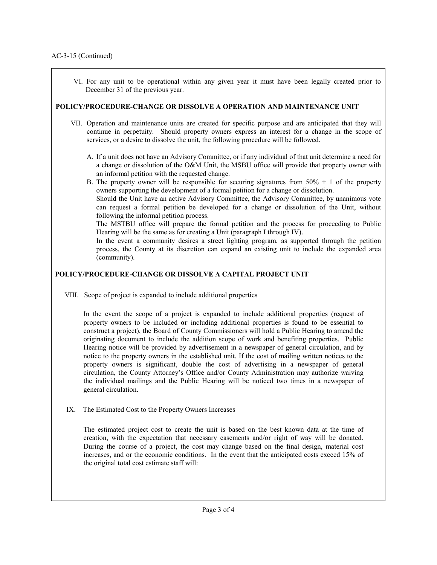$\overline{\phantom{a}}$ 

 VI. For any unit to be operational within any given year it must have been legally created prior to December 31 of the previous year.

## **POLICY/PROCEDURE-CHANGE OR DISSOLVE A OPERATION AND MAINTENANCE UNIT**

- VII. Operation and maintenance units are created for specific purpose and are anticipated that they will continue in perpetuity. Should property owners express an interest for a change in the scope of services, or a desire to dissolve the unit, the following procedure will be followed.
	- A. If a unit does not have an Advisory Committee, or if any individual of that unit determine a need for a change or dissolution of the O&M Unit, the MSBU office will provide that property owner with an informal petition with the requested change.
	- B. The property owner will be responsible for securing signatures from  $50\% + 1$  of the property owners supporting the development of a formal petition for a change or dissolution.

Should the Unit have an active Advisory Committee, the Advisory Committee, by unanimous vote can request a formal petition be developed for a change or dissolution of the Unit, without following the informal petition process.

The MSTBU office will prepare the formal petition and the process for proceeding to Public Hearing will be the same as for creating a Unit (paragraph I through IV).

In the event a community desires a street lighting program, as supported through the petition process, the County at its discretion can expand an existing unit to include the expanded area (community).

## **POLICY/PROCEDURE-CHANGE OR DISSOLVE A CAPITAL PROJECT UNIT**

VIII. Scope of project is expanded to include additional properties

In the event the scope of a project is expanded to include additional properties (request of property owners to be included **or** including additional properties is found to be essential to construct a project), the Board of County Commissioners will hold a Public Hearing to amend the originating document to include the addition scope of work and benefiting properties. Public Hearing notice will be provided by advertisement in a newspaper of general circulation, and by notice to the property owners in the established unit. If the cost of mailing written notices to the property owners is significant, double the cost of advertising in a newspaper of general circulation, the County Attorney's Office and/or County Administration may authorize waiving the individual mailings and the Public Hearing will be noticed two times in a newspaper of general circulation.

IX. The Estimated Cost to the Property Owners Increases

The estimated project cost to create the unit is based on the best known data at the time of creation, with the expectation that necessary easements and/or right of way will be donated. During the course of a project, the cost may change based on the final design, material cost increases, and or the economic conditions. In the event that the anticipated costs exceed 15% of the original total cost estimate staff will: